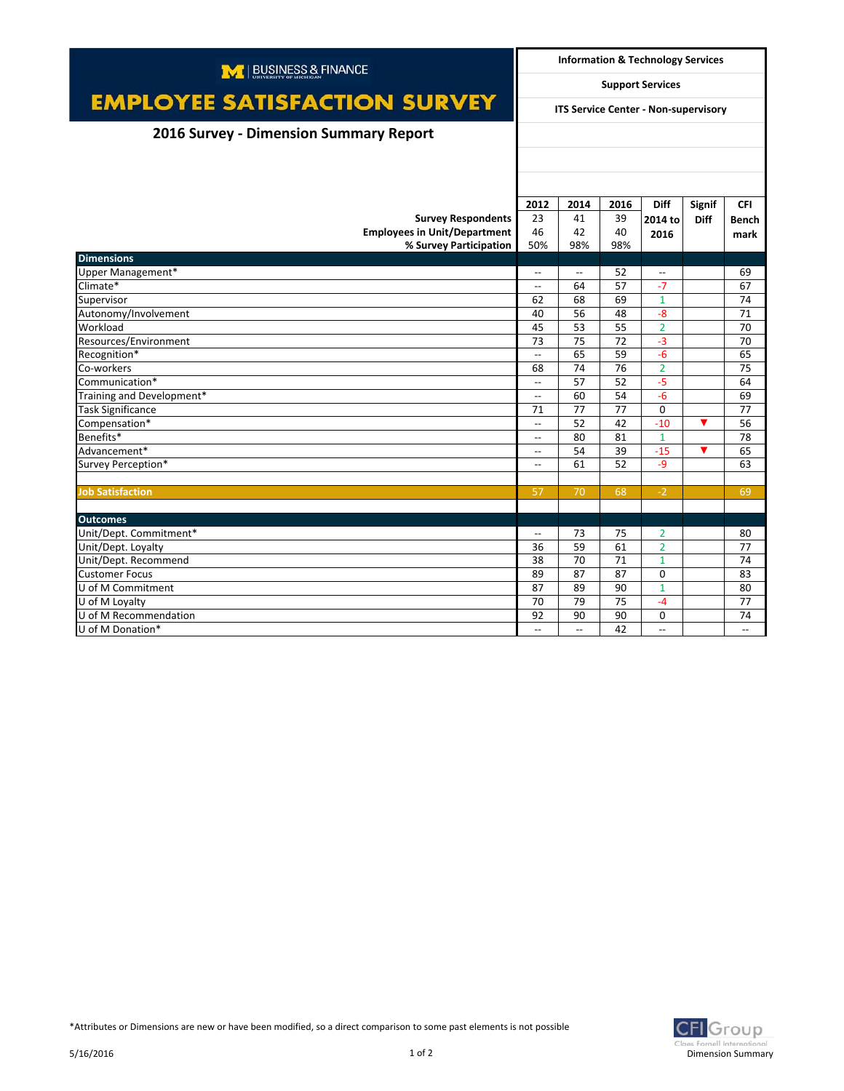| M   BUSINESS & FINANCE                        |                                                     | <b>Information &amp; Technology Services</b> |      |                          |                      |                          |  |
|-----------------------------------------------|-----------------------------------------------------|----------------------------------------------|------|--------------------------|----------------------|--------------------------|--|
|                                               | <b>Support Services</b>                             |                                              |      |                          |                      |                          |  |
| <b>EMPLOYEE SATISFACTION SURVEY</b>           | <b>ITS Service Center - Non-supervisory</b>         |                                              |      |                          |                      |                          |  |
| <b>2016 Survey - Dimension Summary Report</b> |                                                     |                                              |      |                          |                      |                          |  |
|                                               |                                                     |                                              |      |                          |                      |                          |  |
|                                               |                                                     |                                              |      |                          |                      |                          |  |
|                                               |                                                     |                                              |      |                          |                      |                          |  |
|                                               | 2012                                                | 2014                                         | 2016 | <b>Diff</b>              | Signif               | <b>CFI</b>               |  |
| <b>Survey Respondents</b>                     | 23                                                  | 41                                           | 39   | 2014 to                  | <b>Diff</b>          | Bench                    |  |
| <b>Employees in Unit/Department</b>           | 46                                                  | 42                                           | 40   | 2016                     |                      | mark                     |  |
| % Survey Participation                        | 50%                                                 | 98%                                          | 98%  |                          |                      |                          |  |
| <b>Dimensions</b>                             |                                                     |                                              |      |                          |                      |                          |  |
| Upper Management*                             | $\overline{\phantom{a}}$                            | $\overline{\phantom{a}}$                     | 52   | $- -$                    |                      | 69                       |  |
| Climate*                                      | $\overline{\phantom{a}}$                            | 64                                           | 57   | $-7$                     |                      | 67                       |  |
| Supervisor                                    | 62                                                  | 68                                           | 69   | $\mathbf{1}$             |                      | 74                       |  |
| Autonomy/Involvement                          | 40                                                  | 56                                           | 48   | $-8$                     |                      | 71                       |  |
| Workload                                      | 45                                                  | 53                                           | 55   | $\overline{2}$           |                      | 70                       |  |
| Resources/Environment                         | 73                                                  | 75                                           | 72   | $-3$                     |                      | 70                       |  |
| Recognition*                                  | $\overline{\phantom{a}}$                            | 65                                           | 59   | $-6$                     |                      | 65                       |  |
| Co-workers                                    | 68                                                  | 74                                           | 76   | $\overline{2}$           |                      | 75                       |  |
| Communication*                                | $\overline{\phantom{a}}$                            | 57                                           | 52   | $-5$                     |                      | 64                       |  |
| Training and Development*                     | $\overline{\phantom{a}}$                            | 60                                           | 54   | $-6$                     |                      | 69                       |  |
| <b>Task Significance</b>                      | 71                                                  | 77                                           | 77   | $\Omega$                 |                      | 77                       |  |
| Compensation*                                 | $\overline{\phantom{a}}$                            | 52                                           | 42   | $-10$                    | ▼                    | 56                       |  |
| Benefits*                                     | $\overline{\phantom{a}}$                            | 80                                           | 81   | $\mathbf{1}$             |                      | 78                       |  |
| Advancement*                                  | $\overline{\phantom{a}}$                            | 54                                           | 39   | $-15$                    | $\blacktriangledown$ | 65                       |  |
| Survey Perception*                            | $\hspace{0.05cm} -\hspace{0.05cm} -\hspace{0.05cm}$ | 61                                           | 52   | $-9$                     |                      | 63                       |  |
|                                               |                                                     |                                              |      |                          |                      |                          |  |
| <b>Job Satisfaction</b>                       | 57                                                  | 70                                           | 68   | $-2$                     |                      | 69                       |  |
|                                               |                                                     |                                              |      |                          |                      |                          |  |
| <b>Outcomes</b>                               |                                                     |                                              |      |                          |                      |                          |  |
| Unit/Dept. Commitment*                        | $\overline{\phantom{a}}$                            | 73                                           | 75   | $\overline{2}$           |                      | 80                       |  |
| Unit/Dept. Loyalty                            | 36                                                  | 59                                           | 61   | $\overline{2}$           |                      | 77                       |  |
| Unit/Dept. Recommend                          | 38                                                  | 70                                           | 71   | $\mathbf{1}$             |                      | 74                       |  |
| <b>Customer Focus</b>                         | 89                                                  | 87                                           | 87   | $\Omega$                 |                      | 83                       |  |
| U of M Commitment                             | 87                                                  | 89                                           | 90   | $\mathbf{1}$             |                      | 80                       |  |
| U of M Loyalty                                | 70                                                  | 79                                           | 75   | $-4$                     |                      | 77                       |  |
| U of M Recommendation                         | 92                                                  | 90                                           | 90   | $\mathbf 0$              |                      | 74                       |  |
| U of M Donation*                              | $\overline{\phantom{a}}$                            | $\overline{\phantom{a}}$                     | 42   | $\overline{\phantom{a}}$ |                      | $\overline{\phantom{a}}$ |  |